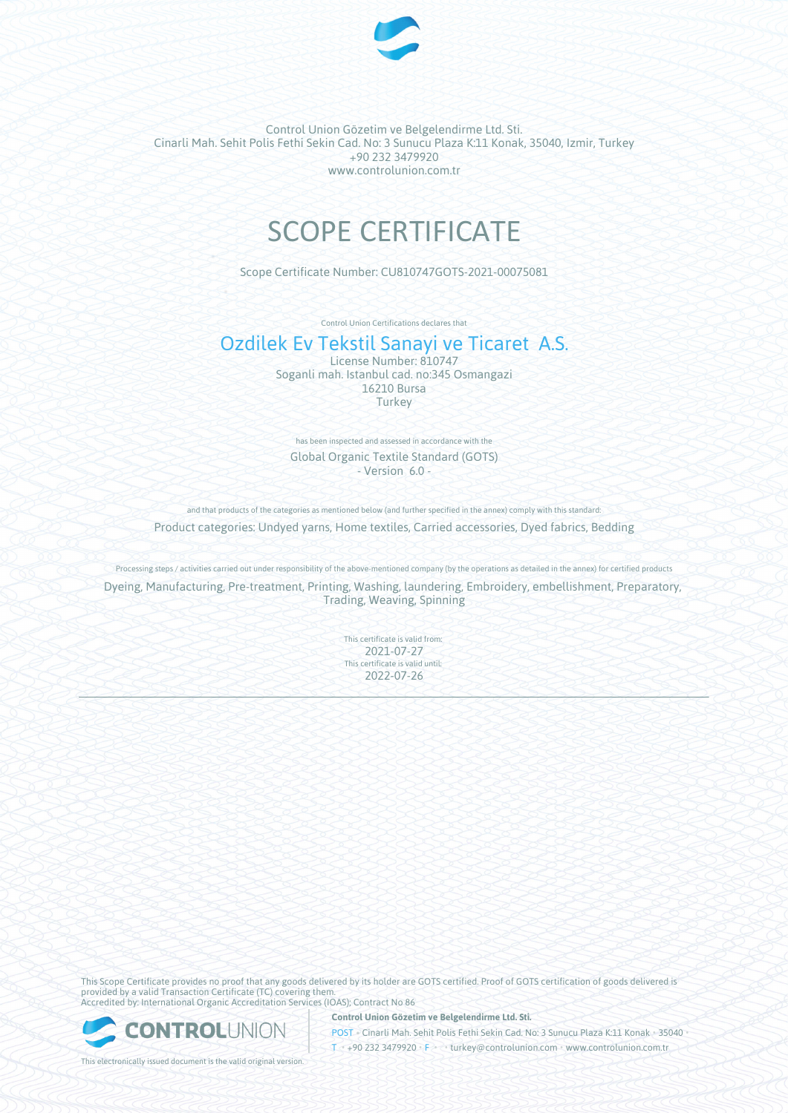

# SCOPE CERTIFICATE

Scope Certificate Number: CU810747GOTS-2021-00075081

Control Union Certifications declares that

### Ozdilek Ev Tekstil Sanayi ve Ticaret A.S.

License Number: 810747 Soganli mah. Istanbul cad. no:345 Osmangazi 16210 Bursa Turkey

has been inspected and assessed in accordance with the Global Organic Textile Standard (GOTS) - Version 6.0 -

and that products of the categories as mentioned below (and further specified in the annex) comply with this standard:

Product categories: Undyed yarns, Home textiles, Carried accessories, Dyed fabrics, Bedding

Processing steps / activities carried out under responsibility of the above-mentioned company (by the operations as detailed in the annex) for certified products Dyeing, Manufacturing, Pre-treatment, Printing, Washing, laundering, Embroidery, embellishment, Preparatory, Trading, Weaving, Spinning

> This certificate is valid from: 2021-07-27 This certificate is valid until: 2022-07-26

This Scope Certificate provides no proof that any goods delivered by its holder are GOTS certified. Proof of GOTS certification of goods delivered is provided by a valid Transaction Certificate (TC) covering them. Accredited by: International Organic Accreditation Services (IOAS); Contract No 86



**Control Union Gözetim ve Belgelendirme Ltd. Sti.**

POST • Cinarli Mah. Sehit Polis Fethi Sekin Cad. No: 3 Sunucu Plaza K:11 Konak • 35040 • T • +90 232 3479920 • F • • turkey@controlunion.com • www.controlunion.com.tr

This electronically issued document is the valid original version.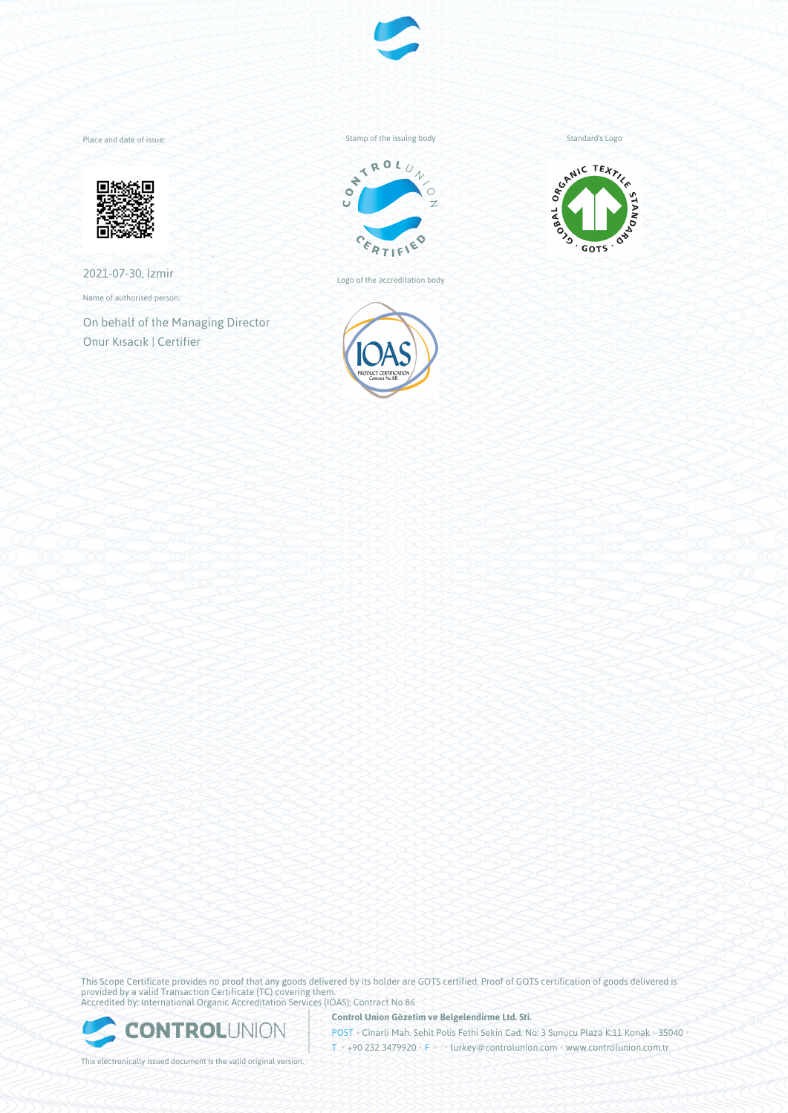

Place and date of issue:



2021-07-30, Izmir

Name of authorised person:

On behalf of the Managing Director Onur Kısacık | Certifier

Stamp of the issuing body



Logo of the accreditation body





This Scope Certificate provides no proof that any goods delivered by its holder are GOTS certified. Proof of GOTS certification of goods delivered is provided by a valid Transaction Certificate (TC) covering them. Accredited by: International Organic Accreditation Services (IOAS); Contract No 86



**Control Union Gözetim ve Belgelendirme Ltd. Sti.**

POST • Cinarli Mah. Sehit Polis Fethi Sekin Cad. No: 3 Sunucu Plaza K:11 Konak • 35040 • T • +90 232 3479920 • F • • turkey@controlunion.com • www.controlunion.com.tr

This electronically issued document is the valid original version.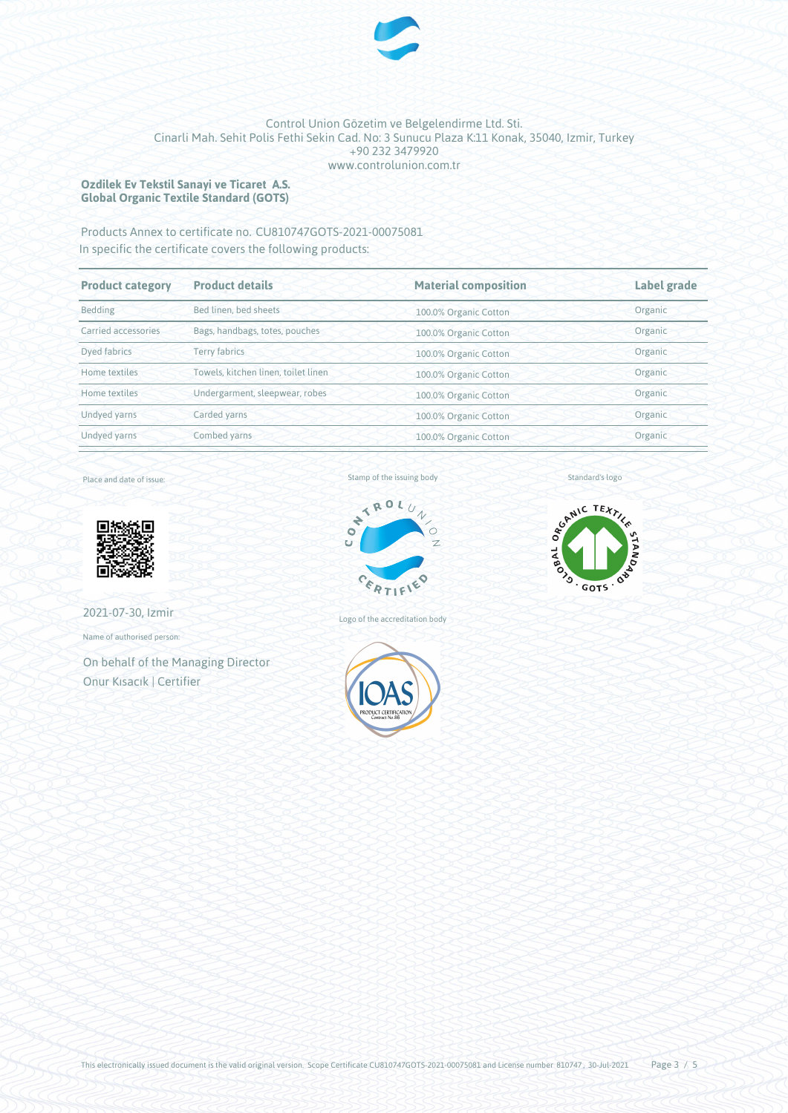

### **Ozdilek Ev Tekstil Sanayi ve Ticaret A.S. Global Organic Textile Standard (GOTS)**

## Products Annex to certificate no. CU810747GOTS-2021-00075081

In specific the certificate covers the following products:

| <b>Product category</b> | <b>Product details</b>              | <b>Material composition</b> | Label grade |
|-------------------------|-------------------------------------|-----------------------------|-------------|
| Bedding                 | Bed linen, bed sheets               | 100.0% Organic Cotton       | Organic     |
| Carried accessories     | Bags, handbags, totes, pouches      | 100.0% Organic Cotton       | Organic     |
| Dyed fabrics            | <b>Terry fabrics</b>                | 100.0% Organic Cotton       | Organic     |
| Home textiles           | Towels, kitchen linen, toilet linen | 100.0% Organic Cotton       | Organic     |
| Home textiles           | Undergarment, sleepwear, robes      | 100.0% Organic Cotton       | Organic     |
| Undyed yarns            | Carded yarns                        | 100.0% Organic Cotton       | Organic     |
| Undyed yarns            | Combed yarns                        | 100.0% Organic Cotton       | Organic     |

Place and date of issue:



2021-07-30, Izmir

Name of authorised person:

On behalf of the Managing Director Onur Kısacık | Certifier

Stamp of the issuing body



Logo of the accreditation body





Standard's logo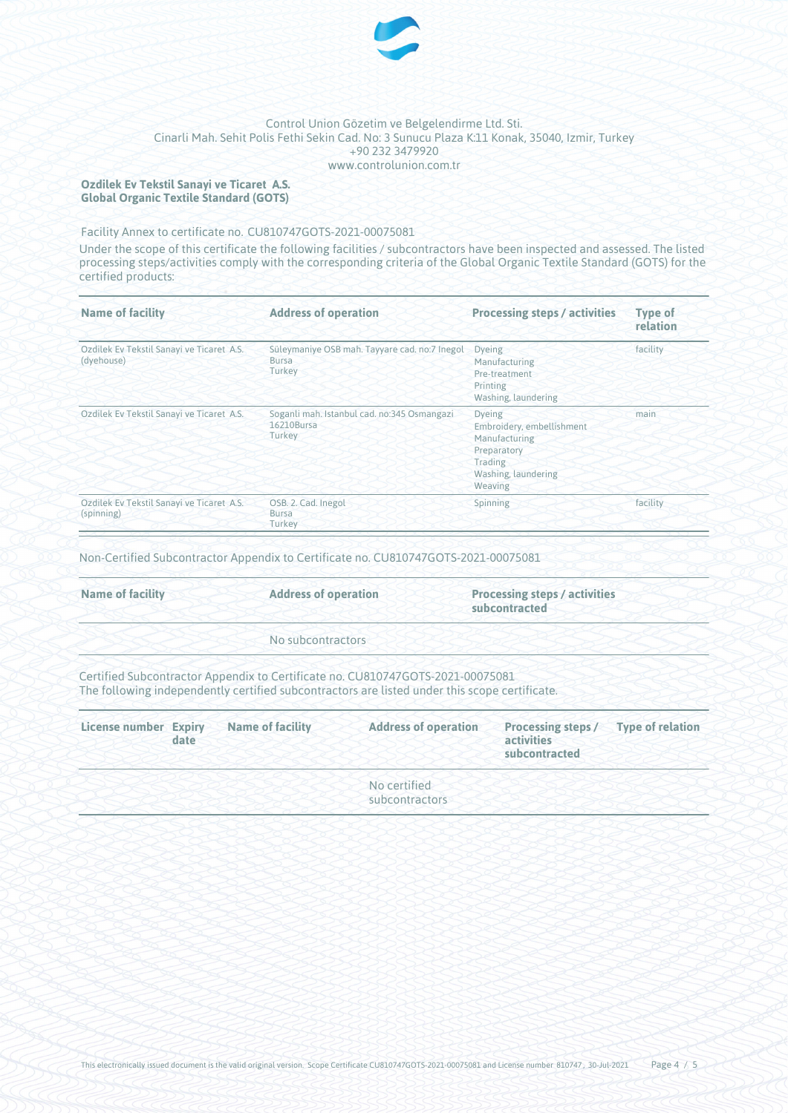

### **Ozdilek Ev Tekstil Sanayi ve Ticaret A.S. Global Organic Textile Standard (GOTS)**

Facility Annex to certificate no. CU810747GOTS-2021-00075081

Under the scope of this certificate the following facilities / subcontractors have been inspected and assessed. The listed processing steps/activities comply with the corresponding criteria of the Global Organic Textile Standard (GOTS) for the certified products:

| <b>Name of facility</b>                                 | <b>Address of operation</b>                                             | <b>Processing steps / activities</b>                                                                                    | <b>Type of</b><br>relation |
|---------------------------------------------------------|-------------------------------------------------------------------------|-------------------------------------------------------------------------------------------------------------------------|----------------------------|
| Ozdilek Ev Tekstil Sanayi ve Ticaret A.S.<br>(dyehouse) | Süleymaniye OSB mah. Tayyare cad. no:7 Inegol<br><b>Bursa</b><br>Turkey | <b>Dyeing</b><br>Manufacturing<br>Pre-treatment<br>Printing<br>Washing, laundering                                      | facility                   |
| Ozdilek Ev Tekstil Sanayi ve Ticaret A.S.               | Soganli mah. Istanbul cad. no:345 Osmangazi<br>16210Bursa<br>Turkey     | <b>Dyeing</b><br>Embroidery, embellishment<br>Manufacturing<br>Preparatory<br>Trading<br>Washing, laundering<br>Weaving | main                       |
| Ozdilek Ev Tekstil Sanayi ve Ticaret A.S.<br>(spinning) | OSB. 2. Cad. Inegol<br><b>Bursa</b><br>Turkey                           | Spinning                                                                                                                | facility                   |

Non-Certified Subcontractor Appendix to Certificate no. CU810747GOTS-2021-00075081

| <b>Name of facility</b> | <b>Address of operation</b> | <b>Processing steps / activities</b><br>subcontracted |
|-------------------------|-----------------------------|-------------------------------------------------------|
|                         | No subcontractors           |                                                       |

Certified Subcontractor Appendix to Certificate no. CU810747GOTS-2021-00075081 The following independently certified subcontractors are listed under this scope certificate.

| <b>License number Expiry</b> | date | <b>Name of facility</b> | <b>Address of operation</b>    | <b>Processing steps /</b><br>activities<br>subcontracted | <b>Type of relation</b> |
|------------------------------|------|-------------------------|--------------------------------|----------------------------------------------------------|-------------------------|
|                              |      |                         | No certified<br>subcontractors |                                                          |                         |